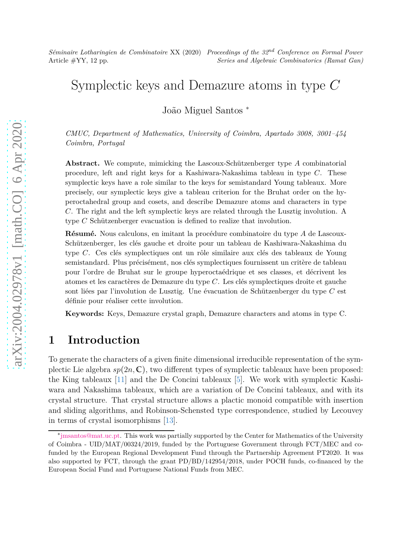# Symplectic keys and Demazure atoms in type *C*

João Miguel Santos <sup>∗</sup>

*CMUC, Department of Mathematics, University of Coimbra, Apartado 3008, 3001–454 Coimbra, Portugal*

**Abstract.** We compute, mimicking the Lascoux-Schützenberger type *A* combinatorial procedure, left and right keys for a Kashiwara-Nakashima tableau in type *C*. These symplectic keys have a role similar to the keys for semistandard Young tableaux. More precisely, our symplectic keys give a tableau criterion for the Bruhat order on the hyperoctahedral group and cosets, and describe Demazure atoms and characters in type *C*. The right and the left symplectic keys are related through the Lusztig involution. A type *C* Schützenberger evacuation is defined to realize that involution.

**Résumé.** Nous calculons, en imitant la procédure combinatoire du type *A* de Lascoux-Schützenberger, les clés gauche et droite pour un tableau de Kashiwara-Nakashima du type *C*. Ces clés symplectiques ont un rôle similaire aux clés des tableaux de Young semistandard. Plus précisément, nos clés symplectiques fournissent un critère de tableau pour l'ordre de Bruhat sur le groupe hyperoctaédrique et ses classes, et décrivent les atomes et les caractères de Demazure du type *C*. Les clés symplectiques droite et gauche sont liées par l'involution de Lusztig. Une évacuation de Schützenberger du type *C* est définie pour réaliser cette involution.

**Keywords:** Keys, Demazure crystal graph, Demazure characters and atoms in type C.

## **1 Introduction**

To generate the characters of a given finite dimensional irreducible representation of the symplectic Lie algebra  $sp(2n, \mathbb{C})$ , two different types of symplectic tableaux have been proposed: the King tableaux [11] and the De Concini tableaux [5]. We work with symplectic Kashiwara and Nakashima tableaux, which are a variation of De Concini tableaux, and with its crystal structure. That crystal structure allows a plactic monoid compatible with insertion and sliding algorithms, and Robinson-Schensted type correspondence, studied by Lecouvey in terms of crystal isomorphisms [13].

<sup>∗</sup> [jmsantos@mat.uc.pt.](mailto:jmsantos@mat.uc.pt) This work was partially supported by the Center for Mathematics of the University of Coimbra - UID/MAT/00324/2019, funded by the Portuguese Government through FCT/MEC and cofunded by the European Regional Development Fund through the Partnership Agreement PT2020. It was also supported by FCT, through the grant PD/BD/142954/2018, under POCH funds, co-financed by the European Social Fund and Portuguese National Funds from MEC.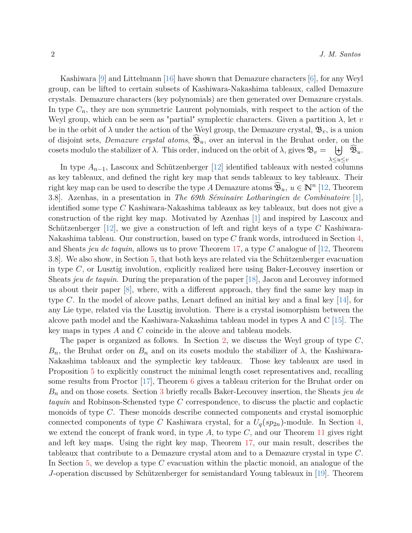Kashiwara [9] and Littelmann [16] have shown that Demazure characters [6], for any Weyl group, can be lifted to certain subsets of Kashiwara-Nakashima tableaux, called Demazure crystals. Demazure characters (key polynomials) are then generated over Demazure crystals. In type  $C_n$ , they are non symmetric Laurent polynomials, with respect to the action of the Weyl group, which can be seen as "partial" symplectic characters. Given a partition  $\lambda$ , let  $v$ be in the orbit of  $\lambda$  under the action of the Weyl group, the Demazure crystal,  $\mathfrak{B}_v$ , is a union of disjoint sets, *Demazure crystal atoms*,  $\mathfrak{B}_u$ , over an interval in the Bruhat order, on the cosets modulo the stabilizer of  $\lambda$ . This order, induced on the orbit of  $\lambda$ , gives  $\mathfrak{B}_v = \begin{bmatrix} + & \widehat{\mathfrak{B}}_u \end{bmatrix}$ . *λ*≤*u*≤*v*

In type  $A_{n-1}$ , Lascoux and Schützenberger [12] identified tableaux with nested columns as key tableaux, and defined the right key map that sends tableaux to key tableaux. Their right key map can be used to describe the type *A* Demazure atoms  $\widehat{\mathfrak{B}}_u, u \in \mathbb{N}^n$  [12, Theorem 3.8]. Azenhas, in a presentation in *The 69th Séminaire Lotharingien de Combinatoire* [1], identified some type *C* Kashiwara-Nakashima tableaux as key tableaux, but does not give a construction of the right key map. Motivated by Azenhas [1] and inspired by Lascoux and Schützenberger [12], we give a construction of left and right keys of a type *C* Kashiwara-Nakashima tableau. Our construction, based on type *C* frank words, introduced in Section [4,](#page-6-0) and Sheats *jeu de taquin*, allows us to prove Theorem [17,](#page-8-0) a type *C* analogue of [12, Theorem 3.8]. We also show, in Section [5,](#page-10-0) that both keys are related via the Schützenberger evacuation in type *C*, or Lusztig involution, explicitly realized here using Baker-Lecouvey insertion or Sheats *jeu de taquin*. During the preparation of the paper [18], Jacon and Lecouvey informed us about their paper [8], where, with a different approach, they find the same key map in type *C*. In the model of alcove paths, Lenart defined an initial key and a final key  $[14]$ , for any Lie type, related via the Lusztig involution. There is a crystal isomorphism between the alcove path model and the Kashiwara-Nakashima tableau model in types A and C [15]. The key maps in types *A* and *C* coincide in the alcove and tableau models.

The paper is organized as follows. In Section [2,](#page-2-0) we discuss the Weyl group of type *C*,  $B_n$ , the Bruhat order on  $B_n$  and on its cosets modulo the stabilizer of  $\lambda$ , the Kashiwara-Nakashima tableaux and the symplectic key tableaux. Those key tableaux are used in Proposition [5](#page-4-0) to explicitly construct the minimal length coset representatives and, recalling some results from Proctor [17], Theorem [6](#page-4-1) gives a tableau criterion for the Bruhat order on *B<sup>n</sup>* and on those cosets. Section [3](#page-5-0) briefly recalls Baker-Lecouvey insertion, the Sheats *jeu de taquin* and Robinson-Schensted type *C* correspondence, to discuss the plactic and coplactic monoids of type *C*. These monoids describe connected components and crystal isomorphic connected components of type *C* Kashiwara crystal, for a  $U_q(sp_{2n})$ -module. In Section [4,](#page-6-0) we extend the concept of frank word, in type  $A$ , to type  $C$ , and our Theorem [11](#page-7-0) gives right and left key maps. Using the right key map, Theorem [17,](#page-8-0) our main result, describes the tableaux that contribute to a Demazure crystal atom and to a Demazure crystal in type *C*. In Section [5,](#page-10-0) we develop a type *C* evacuation within the plactic monoid, an analogue of the *J*-operation discussed by Schützenberger for semistandard Young tableaux in [19]. Theorem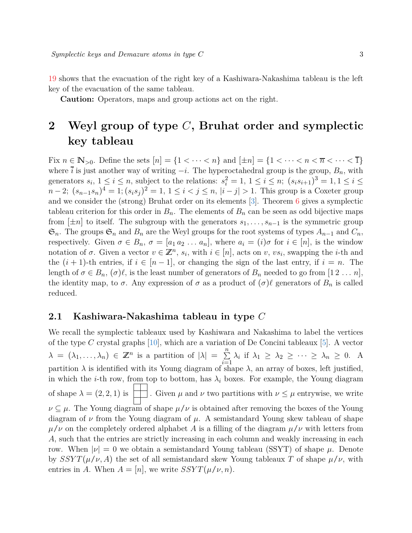[19](#page-10-1) shows that the evacuation of the right key of a Kashiwara-Nakashima tableau is the left key of the evacuation of the same tableau.

**Caution:** Operators, maps and group actions act on the right.

# <span id="page-2-0"></span>**2 Weyl group of type** *C***, Bruhat order and symplectic key tableau**

Fix  $n \in \mathbb{N}_{>0}$ . Define the sets  $[n] = \{1 < \cdots < n\}$  and  $[\pm n] = \{1 < \cdots < n < n < \overline{n} < \cdots < \overline{1}\}$ where  $\overline{i}$  is just another way of writing  $-i$ . The hyperoctahedral group is the group,  $B_n$ , with generators  $s_i$ ,  $1 \le i \le n$ , subject to the relations:  $s_i^2 = 1$ ,  $1 \le i \le n$ ;  $(s_i s_{i+1})^3 = 1$ ,  $1 \le i \le n$  $n-2$ ;  $(s_{n-1}s_n)^4 = 1$ ;  $(s_is_j)^2 = 1$ ,  $1 \le i < j \le n$ ,  $|i-j| > 1$ . This group is a Coxeter group and we consider the (strong) Bruhat order on its elements [\[3\]](#page-11-0). Theorem [6](#page-4-1) gives a symplectic tableau criterion for this order in  $B_n$ . The elements of  $B_n$  can be seen as odd bijective maps from  $[\pm n]$  to itself. The subgroup with the generators  $s_1, \ldots, s_{n-1}$  is the symmetric group  $\mathfrak{S}_n$ . The groups  $\mathfrak{S}_n$  and  $B_n$  are the Weyl groups for the root systems of types  $A_{n-1}$  and  $C_n$ , respectively. Given  $\sigma \in B_n$ ,  $\sigma = [a_1 a_2 \ldots a_n]$ , where  $a_i = (i)\sigma$  for  $i \in [n]$ , is the window notation of  $\sigma$ . Given a vector  $v \in \mathbb{Z}^n$ ,  $s_i$ , with  $i \in [n]$ , acts on  $v$ ,  $vs_i$ , swapping the *i*-th and the  $(i + 1)$ -th entries, if  $i \in [n - 1]$ , or changing the sign of the last entry, if  $i = n$ . The length of  $\sigma \in B_n$ ,  $(\sigma)\ell$ , is the least number of generators of  $B_n$  needed to go from  $[1\,2\,\ldots\,n]$ , the identity map, to  $\sigma$ . Any expression of  $\sigma$  as a product of  $(\sigma)\ell$  generators of  $B_n$  is called reduced.

#### **2.1 Kashiwara-Nakashima tableau in type** *C*

We recall the symplectic tableaux used by Kashiwara and Nakashima to label the vertices of the type *C* crystal graphs [10], which are a variation of De Concini tableaux [5]. A vector  $\lambda = (\lambda_1, \ldots, \lambda_n) \in \mathbb{Z}^n$  is a partition of  $|\lambda| = \sum_{n=1}^{\infty}$  $\sum_{i=1}^{\infty} \lambda_i$  if  $\lambda_1 \geq \lambda_2 \geq \cdots \geq \lambda_n \geq 0$ . A partition  $\lambda$  is identified with its Young diagram of shape  $\lambda$ , an array of boxes, left justified, in which the *i*-th row, from top to bottom, has  $\lambda_i$  boxes. For example, the Young diagram of shape  $\lambda = (2, 2, 1)$  is  $\Box$ . Given  $\mu$  and  $\nu$  two partitions with  $\nu \leq \mu$  entrywise, we write  $\nu \subseteq \mu$ . The Young diagram of shape  $\mu/\nu$  is obtained after removing the boxes of the Young diagram of *ν* from the Young diagram of *µ*. A semistandard Young skew tableau of shape  $\mu/\nu$  on the completely ordered alphabet *A* is a filling of the diagram  $\mu/\nu$  with letters from *A*, such that the entries are strictly increasing in each column and weakly increasing in each row. When  $|ν| = 0$  we obtain a semistandard Young tableau (SSYT) of shape  $μ$ . Denote by  $SSYT(\mu/\nu, A)$  the set of all semistandard skew Young tableaux T of shape  $\mu/\nu$ , with entries in *A*. When  $A = [n]$ , we write  $SSYT(\mu/\nu, n)$ .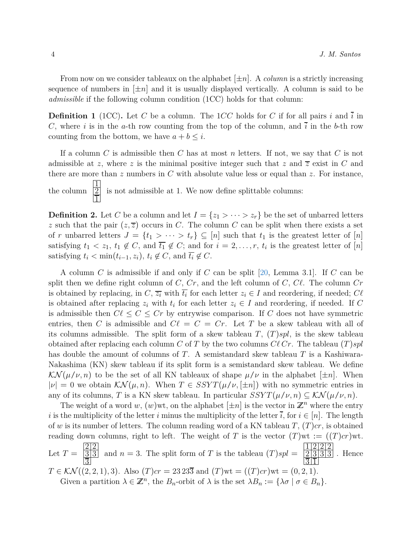From now on we consider tableaux on the alphabet  $[\pm n]$ . A *column* is a strictly increasing sequence of numbers in  $[\pm n]$  and it is usually displayed vertically. A column is said to be *admissible* if the following column condition (1CC) holds for that column:

**Definition 1** (1CC). Let *C* be a column. The 1*CC* holds for *C* if for all pairs *i* and  $\overline{i}$  in *C*, where *i* is in the *a*-th row counting from the top of the column, and  $\overline{i}$  in the *b*-th row counting from the bottom, we have  $a + b \leq i$ .

If a column *C* is admissible then *C* has at most *n* letters. If not, we say that *C* is not admissible at *z*, where *z* is the minimal positive integer such that *z* and  $\overline{z}$  exist in *C* and there are more than *z* numbers in *C* with absolute value less or equal than *z*. For instance, the column 1 2 1 is not admissible at 1. We now define splittable columns:

**Definition 2.** Let *C* be a column and let  $I = \{z_1 > \cdots > z_r\}$  be the set of unbarred letters *z* such that the pair  $(z, \overline{z})$  occurs in *C*. The column *C* can be split when there exists a set of *r* unbarred letters  $J = \{t_1 > \cdots > t_r\} \subseteq [n]$  such that  $t_1$  is the greatest letter of  $[n]$ satisfying  $t_1 < z_1$ ,  $t_1 \notin C$ , and  $\overline{t_1} \notin C$ ; and for  $i = 2, \ldots, r$ ,  $t_i$  is the greatest letter of  $[n]$ satisfying  $t_i < \min(t_{i-1}, z_i)$ ,  $t_i \notin C$ , and  $\overline{t_i} \notin C$ .

A column *C* is admissible if and only if *C* can be split [20, Lemma 3.1]. If *C* can be split then we define right column of *C*, *Cr*, and the left column of *C*, *Cℓ*. The column *Cr* is obtained by replacing, in  $C$ ,  $\overline{z_i}$  with  $\overline{t_i}$  for each letter  $z_i \in I$  and reordering, if needed;  $C\ell$ is obtained after replacing  $z_i$  with  $t_i$  for each letter  $z_i \in I$  and reordering, if needed. If C is admissible then  $C\ell \leq C \leq Cr$  by entrywise comparison. If *C* does not have symmetric entries, then *C* is admissible and  $C\ell = C = Cr$ . Let *T* be a skew tableau with all of its columns admissible. The split form of a skew tableau  $T$ ,  $(T)$ *spl*, is the skew tableau obtained after replacing each column *C* of *T* by the two columns *Cℓ Cr*. The tableau (*T* )*spl* has double the amount of columns of *T*. A semistandard skew tableau *T* is a Kashiwara-Nakashima (KN) skew tableau if its split form is a semistandard skew tableau. We define  $\mathcal{KN}(\mu/\nu, n)$  to be the set of all KN tableaux of shape  $\mu/\nu$  in the alphabet  $[\pm n]$ . When  $|\nu| = 0$  we obtain  $\mathcal{KN}(\mu, n)$ . When  $T \in SSYT(\mu/\nu, [\pm n])$  with no symmetric entries in any of its columns, *T* is a KN skew tableau. In particular  $SSYT(\mu/\nu, n) \subseteq \mathcal{KN}(\mu/\nu, n)$ .

The weight of a word w,  $(w)$  wt, on the alphabet  $[\pm n]$  is the vector in  $\mathbb{Z}^n$  where the entry *i* is the multiplicity of the letter *i* minus the multiplicity of the letter  $\overline{i}$ , for  $i \in [n]$ . The length of *w* is its number of letters. The column reading word of a KN tableau *T*, (*T* )*cr*, is obtained reading down columns, right to left. The weight of *T* is the vector  $(T)$ wt :=  $((T)cr)$ wt. Let  $T =$  $\frac{2}{2}$  $\frac{3}{3}$ 3 and  $n = 3$ . The split form of *T* is the tableau  $(T)$ *spl* = 1 2 2 2  $\frac{2|3|3|3}$  $\overline{3}\overline{1}$ . Hence *T* ∈  $KN((2, 2, 1), 3)$ . Also  $(T)cr = 23\,23\overline{3}$  and  $(T)wt = ((T)cr)wt = (0, 2, 1)$ . Given a partition  $\lambda \in \mathbb{Z}^n$ , the  $B_n$ -orbit of  $\lambda$  is the set  $\lambda B_n := {\lambda \sigma \mid \sigma \in B_n}$ .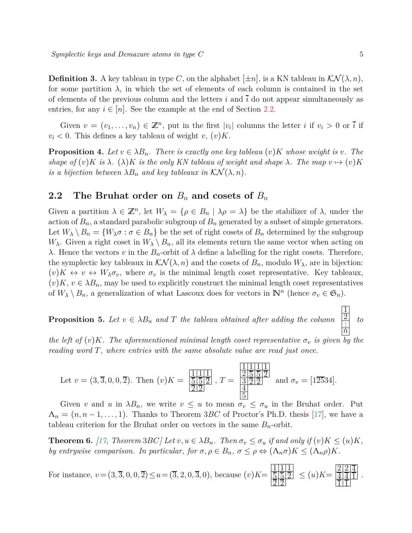**Definition 3.** A key tableau in type *C*, on the alphabet  $[\pm n]$ , is a KN tableau in  $\mathcal{KN}(\lambda, n)$ , for some partition  $\lambda$ , in which the set of elements of each column is contained in the set of elements of the previous column and the letters  $i$  and  $\overline{i}$  do not appear simultaneously as entries, for any  $i \in [n]$ . See the example at the end of Section [2.2.](#page-4-2)

Given  $v = (v_1, \ldots, v_n) \in \mathbb{Z}^n$ , put in the first  $|v_i|$  columns the letter *i* if  $v_i > 0$  or  $\overline{i}$  if  $v_i < 0$ . This defines a key tableau of weight *v*,  $(v)K$ .

**Proposition 4.** Let  $v \in \lambda B_n$ . There is exactly one key tableau  $(v)K$  whose weight is v. The *shape of*  $(v)K$  *is*  $\lambda$ *.*  $(\lambda)K$  *is the only KN tableau of weight and shape*  $\lambda$ *. The map*  $v \mapsto (v)K$ *is a bijection between*  $\lambda B_n$  *and key tableaux in*  $\mathcal{K} \mathcal{N}(\lambda, n)$ *.* 

#### <span id="page-4-2"></span>**2.2** The Bruhat order on  $B_n$  and cosets of  $B_n$

Given a partition  $\lambda \in \mathbb{Z}^n$ , let  $W_{\lambda} = {\rho \in B_n \mid \lambda \rho = \lambda}$  be the stabilizer of  $\lambda$ , under the action of  $B_n$ , a standard parabolic subgroup of  $B_n$  generated by a subset of simple generators. Let  $W_{\lambda} \setminus B_n = \{W_{\lambda} \sigma : \sigma \in B_n\}$  be the set of right cosets of  $B_n$  determined by the subgroup *W*<sub>λ</sub>. Given a right coset in  $W_\lambda \setminus B_n$ , all its elements return the same vector when acting on *λ*. Hence the vectors *v* in the *B<sub>n</sub>*-orbit of  $λ$  define a labelling for the right cosets. Therefore, the symplectic key tableaux in  $\mathcal{KN}(\lambda,n)$  and the cosets of  $B_n$ , modulo  $W_\lambda$ , are in bijection:  $(v)K \leftrightarrow v \leftrightarrow W_{\lambda} \sigma_v$ , where  $\sigma_v$  is the minimal length coset representative. Key tableaux,  $(v)K, v \in \lambda B_n$ , may be used to explicitly construct the minimal length coset representatives of  $W_{\lambda} \setminus B_n$ , a generalization of what Lascoux does for vectors in  $\mathbb{N}^n$  (hence  $\sigma_v \in \mathfrak{S}_n$ ).

<span id="page-4-0"></span>**Proposition 5.** Let  $v \in \lambda B_n$  and T the tableau obtained after adding the column 1 2 *. . . n to*

*the left of*  $(v)K$ *. The aforementioned minimal length coset representative*  $\sigma_v$  *is given by the reading word T, where entries with the same absolute value are read just once.*

Let 
$$
v = (3, \overline{3}, 0, 0, \overline{2})
$$
. Then  $(v)K = \frac{\frac{1}{11} \cdot \frac{1}{11}}{\frac{5}{2} \cdot \frac{5}{2}} = \frac{\frac{1}{2} \cdot \frac{1}{5} \cdot \frac{1}{11}}{\frac{3}{5} \cdot \frac{2}{2} \cdot \frac{2}{2}}$  and  $\sigma_v = [1\overline{25}34]$ .

Given *v* and *u* in  $\lambda B_n$ , we write  $v \leq u$  to mean  $\sigma_v \leq \sigma_u$  in the Bruhat order. Put  $\Lambda_n = (n, n-1, \ldots, 1)$ . Thanks to Theorem 3*BC* of Proctor's Ph.D. thesis [17], we have a tableau criterion for the Bruhat order on vectors in the same  $B_n$ -orbit.

<span id="page-4-1"></span>**Theorem 6.** [17, Theorem 3BC] Let  $v, u \in \lambda B_n$ . Then  $\sigma_v \leq \sigma_u$  if and only if  $(v)K \leq (u)K$ , *by entrywise comparison. In particular, for*  $\sigma, \rho \in B_n$ ,  $\sigma \leq \rho \Leftrightarrow (\Lambda_n \sigma)K \leq (\Lambda_n \rho)K$ .

For instance, 
$$
v = (3, \overline{3}, 0, 0, \overline{2}) \le u = (\overline{3}, 2, 0, \overline{3}, 0)
$$
, because  $(v)K = \frac{\boxed{11111}}{\boxed{51512}} \le (u)K = \frac{\boxed{21214}}{\boxed{111}}$ .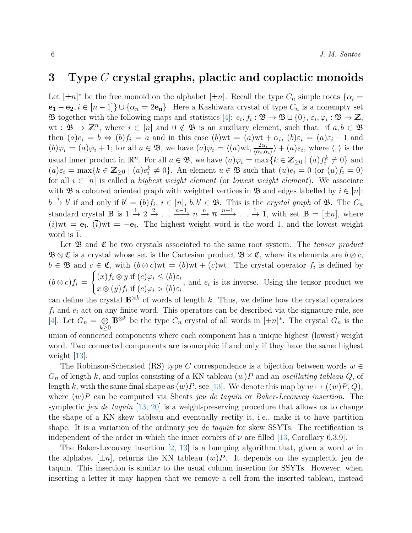### <span id="page-5-0"></span>**3 Type** *C* **crystal graphs, plactic and coplactic monoids**

Let  $[\pm n]^*$  be the free monoid on the alphabet  $[\pm n]$ . Recall the type  $C_n$  simple roots  $\{\alpha_i =$ **e1** − **e**<sub>2</sub>, *i* ∈ [*n* − 1]} ∪ { $\alpha_n = 2e_n$ }. Here a Kashiwara crystal of type  $C_n$  is a nonempty set B together with the following maps and statistics [4]:  $e_i, f_i : \mathfrak{B} \to \mathfrak{B} \sqcup \{0\}, \varepsilon_i, \varphi_i : \mathfrak{B} \to \mathbb{Z}$ , wt:  $\mathfrak{B} \to \mathbb{Z}^n$ , where  $i \in [n]$  and  $0 \notin \mathfrak{B}$  is an auxiliary element, such that: if  $a, b \in \mathfrak{B}$ then  $(a)e_i = b \Leftrightarrow (b)f_i = a$  and in this case  $(b)wt = (a)wt + \alpha_i$ ,  $(b)\varepsilon_i = (a)\varepsilon_i - 1$  and  $(b)\varphi_i = (a)\varphi_i + 1$ ; for all  $a \in \mathfrak{B}$ , we have  $(a)\varphi_i = \langle (a) \text{wt}, \frac{2\alpha_i}{\langle \alpha_i, \alpha_i \rangle} \rangle + (a)\varepsilon_i$ , where  $\langle , \rangle$  is the usual inner product in  $\mathbb{R}^n$ . For all  $a \in \mathfrak{B}$ , we have  $(a)\varphi_i = \max\{k \in \mathbb{Z}_{\geq 0} \mid (a)f_i^k \neq 0\}$  and  $(a)\varepsilon_i = \max\{k \in \mathbb{Z}_{\geq 0} \mid (a)e_i^k \neq 0\}$ . An element  $u \in \mathfrak{B}$  such that  $(u)e_i = 0$  (or  $(u)f_i = 0$ ) for all  $i \in [n]$  is called a *highest weight element* (or *lowest weight element*). We associate with  $\mathfrak{B}$  a coloured oriented graph with weighted vertices in  $\mathfrak{B}$  and edges labelled by  $i \in [n]$ :  $b \stackrel{i}{\rightarrow} b'$  if and only if  $b' = (b)f_i$ ,  $i \in [n]$ ,  $b, b' \in \mathfrak{B}$ . This is the *crystal graph* of  $\mathfrak{B}$ . The  $C_n$ standard crystal **B** is  $1 \stackrel{1}{\rightarrow} 2 \stackrel{2}{\rightarrow} \ldots \stackrel{n-1}{\longrightarrow} n \stackrel{n}{\rightarrow} \overline{n} \stackrel{n-1}{\longrightarrow} \ldots \stackrel{1}{\rightarrow} 1$ , with set  $\mathbb{B} = [\pm n]$ , where  $(i)$ wt =  $\mathbf{e}_i$ ,  $(\overline{i})$ wt =  $-\mathbf{e}_i$ . The highest weight word is the word 1, and the lowest weight word is  $\overline{1}$ .

Let **B** and **C** be two crystals associated to the same root system. The *tensor product*  $\mathfrak{B} \otimes \mathfrak{C}$  is a crystal whose set is the Cartesian product  $\mathfrak{B} \times \mathfrak{C}$ , where its elements are  $b \otimes c$ ,  $b \in \mathfrak{B}$  and  $c \in \mathfrak{C}$ , with  $(b \otimes c)$  wt =  $(b)$  wt +  $(c)$  wt. The crystal operator  $f_i$  is defined by  $(b \otimes c)f_i =$  $\sqrt{ }$  $\frac{1}{2}$  $\mathbf{I}$  $(x) f_i \otimes y$  if  $(c) \varphi_i \leq (b) \varepsilon_i$  $x \otimes (y) f_i$  if  $(c) \varphi_i > (b) \varepsilon_i$ , and  $e_i$  is its inverse. Using the tensor product we

can define the crystal  $\mathbb{B}^{\otimes k}$  of words of length *k*. Thus, we define how the crystal operators  $f_i$  and  $e_i$  act on any finite word. This operators can be described via the signature rule, see [4]. Let  $G_n = \bigoplus$ *k*≥0 **B**<sup>⊗*k*</sup> be the type  $C_n$  crystal of all words in  $[\pm n]^*$ . The crystal  $G_n$  is the union of connected components where each component has a unique highest (lowest) weight word. Two connected components are isomorphic if and only if they have the same highest weight [13].

The Robinson-Schensted (RS) type *C* correspondence is a bijection between words  $w \in$ *G<sup>n</sup>* of length *k*, and tuples consisting of a KN tableau (*w*)*P* and an *oscillating tableau Q*, of length *k*, with the same final shape as  $(w)P$ , see [13]. We denote this map by  $w \mapsto ((w)P, Q)$ , where (*w*)*P* can be computed via Sheats *jeu de taquin* or *Baker-Lecouvey insertion*. The symplectic *jeu de taquin* [13, 20] is a weight-preserving procedure that allows us to change the shape of a KN skew tableau and eventually rectify it, i.e., make it to have partition shape. It is a variation of the ordinary *jeu de taquin* for skew SSYTs. The rectification is independent of the order in which the inner corners of  $\nu$  are filled [13, Corollary 6.3.9].

The Baker-Lecouvey insertion [2, 13] is a bumping algorithm that, given a word *w* in the alphabet  $[\pm n]$ , returns the KN tableau  $(w)P$ . It depends on the symplectic jeu de taquin. This insertion is similar to the usual column insertion for SSYTs. However, when inserting a letter it may happen that we remove a cell from the inserted tableau, instead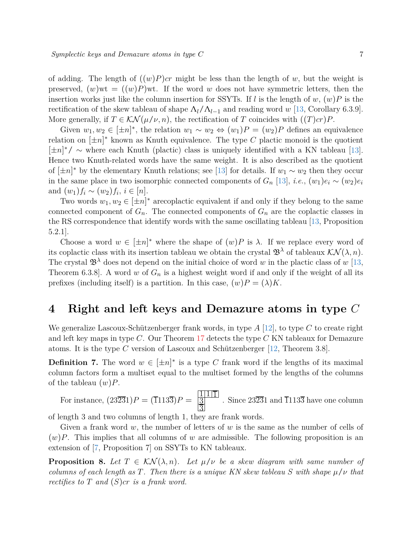of adding. The length of  $((w)P)cr$  might be less than the length of *w*, but the weight is preserved,  $(w)$ wt =  $((w)P)$ wt. If the word *w* does not have symmetric letters, then the insertion works just like the column insertion for SSYTs. If *l* is the length of  $w$ ,  $(w)P$  is the rectification of the skew tableau of shape  $\Lambda_l/\Lambda_{l-1}$  and reading word *w* [13, Corollary 6.3.9]. More generally, if  $T \in \mathcal{KN}(\mu/\nu, n)$ , the rectification of *T* coincides with  $((T)cr)P$ .

Given  $w_1, w_2 \in [\pm n]^*$ , the relation  $w_1 \sim w_2 \Leftrightarrow (w_1)P = (w_2)P$  defines an equivalence relation on  $[\pm n]^*$  known as Knuth equivalence. The type C plactic monoid is the quotient [±*n*] <sup>∗</sup>/ ∼ where each Knuth (plactic) class is uniquely identified with a KN tableau [13]. Hence two Knuth-related words have the same weight. It is also described as the quotient of  $[\pm n]^*$  by the elementary Knuth relations; see [13] for details. If  $w_1 \sim w_2$  then they occur in the same place in two isomorphic connected components of  $G_n$  [13], *i.e.*,  $(w_1)e_i \sim (w_2)e_i$ and  $(w_1) f_i \sim (w_2) f_i, i \in [n]$ .

Two words  $w_1, w_2 \in [\pm n]^*$  are coplactic equivalent if and only if they belong to the same connected component of  $G_n$ . The connected components of  $G_n$  are the coplactic classes in the RS correspondence that identify words with the same oscillating tableau [13, Proposition 5.2.1].

Choose a word  $w \in [\pm n]^*$  where the shape of  $(w)P$  is  $\lambda$ . If we replace every word of its coplactic class with its insertion tableau we obtain the crystal  $\mathfrak{B}^{\lambda}$  of tableaux  $\mathcal{KN}(\lambda,n)$ . The crystal  $\mathfrak{B}^{\lambda}$  does not depend on the initial choice of word *w* in the plactic class of *w* [13, Theorem 6.3.8]. A word *w* of  $G_n$  is a highest weight word if and only if the weight of all its prefixes (including itself) is a partition. In this case,  $(w)P = (\lambda)K$ .

# <span id="page-6-0"></span>**4 Right and left keys and Demazure atoms in type** *C*

We generalize Lascoux-Schützenberger frank words, in type *A* [12], to type *C* to create right and left key maps in type *C*. Our Theorem [17](#page-8-0) detects the type *C* KN tableaux for Demazure atoms. It is the type *C* version of Lascoux and Schützenberger [12, Theorem 3.8].

**Definition 7.** The word  $w \in [\pm n]^*$  is a type C frank word if the lengths of its maximal column factors form a multiset equal to the multiset formed by the lengths of the columns of the tableau (*w*)*P*.

For instance, 
$$
(23\overline{23}1)P = (\overline{11}13\overline{3})P = \frac{1111\overline{1}}{\frac{3}{2}}
$$
. Since 23231 and 1133 have one column

of length 3 and two columns of length 1, they are frank words.

Given a frank word *w*, the number of letters of *w* is the same as the number of cells of  $(w)P$ . This implies that all columns of *w* are admissible. The following proposition is an extension of [7, Proposition 7] on SSYTs to KN tableaux.

<span id="page-6-2"></span><span id="page-6-1"></span>**Proposition 8.** Let  $T \in \mathcal{KN}(\lambda, n)$ . Let  $\mu/\nu$  be a skew diagram with same number of *columns of each length as*  $T$ *. Then there is a unique KN skew tableau*  $S$  *with shape*  $\mu/\nu$  *that rectifies to T and* (*S*)*cr is a frank word.*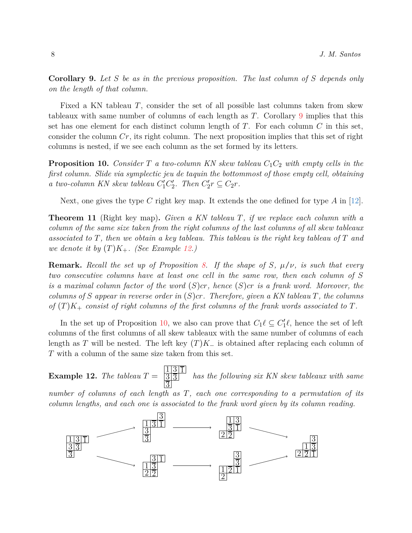**Corollary 9.** *Let S be as in the previous proposition. The last column of S depends only on the length of that column.*

Fixed a KN tableau *T*, consider the set of all possible last columns taken from skew tableaux with same number of columns of each length as *T*. Corollary [9](#page-6-1) implies that this set has one element for each distinct column length of *T*. For each column *C* in this set, consider the column *Cr*, its right column. The next proposition implies that this set of right columns is nested, if we see each column as the set formed by its letters.

<span id="page-7-2"></span>**Proposition 10.** *Consider T a two-column KN skew tableau C*1*C*<sup>2</sup> *with empty cells in the first column. Slide via symplectic jeu de taquin the bottommost of those empty cell, obtaining a* two-column KN skew tableau  $C'_1C'_2$ . Then  $C'_2r \subseteq C_2r$ .

<span id="page-7-0"></span>Next, one gives the type *C* right key map. It extends the one defined for type *A* in [12].

**Theorem 11** (Right key map)**.** *Given a KN tableau T, if we replace each column with a column of the same size taken from the right columns of the last columns of all skew tableaux associated to T, then we obtain a key tableau. This tableau is the right key tableau of T and we denote it by*  $(T)K_+$ *. (See Example [12.](#page-7-1))* 

**Remark.** *Recall the set up of Proposition [8.](#page-6-2) If the shape of S, µ*/*ν, is such that every two consecutive columns have at least one cell in the same row, then each column of S is a maximal column factor of the word* (*S*)*cr, hence* (*S*)*cr is a frank word. Moreover, the columns of S appear in reverse order in* (*S*)*cr. Therefore, given a KN tableau T, the columns of* (*T* )*K*<sup>+</sup> *consist of right columns of the first columns of the frank words associated to T.*

In the set up of Proposition [10,](#page-7-2) we also can prove that  $C_1 \ell \subseteq C'_1 \ell$ , hence the set of left columns of the first columns of all skew tableaux with the same number of columns of each length as *T* will be nested. The left key  $(T)K$  is obtained after replacing each column of *T* with a column of the same size taken from this set.

<span id="page-7-1"></span>**Example 12.** *The tableau*  $T =$  $\frac{1|3|1}{}$  $\frac{3}{3}$ 3 *has the following six KN skew tableaux with same number of columns of each length as T, each one corresponding to a permutation of its column lengths, and each one is associated to the frank word given by its column reading.*

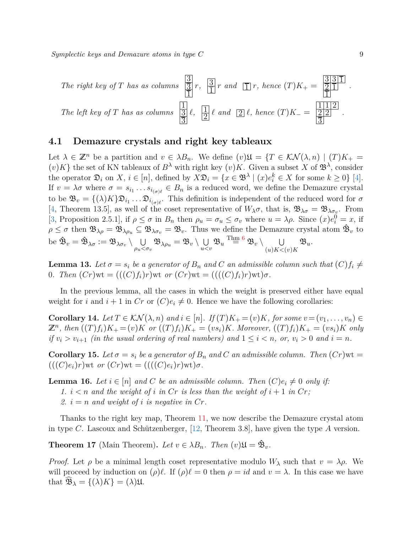*Symplectic keys and Demazure atoms in type C* 9

The right key of T has as columns 
$$
\frac{3}{3}
$$
 r,  $\frac{3}{1}$  r and  $\boxed{1}$  r, hence  $(T)K_{+} = \frac{3311}{21}$ .  
The left key of T has as columns  $\frac{1}{3}$  l,  $\frac{1}{2}$  l and  $\boxed{2}$  l, hence  $(T)K_{-} = \frac{1112}{3}$ .

#### **4.1 Demazure crystals and right key tableaux**

Let  $\lambda \in \mathbb{Z}^n$  be a partition and  $v \in \lambda B_n$ . We define  $(v)\mathfrak{U} = \{T \in \mathcal{KN}(\lambda,n) \mid (T)K_+ =$  $(v)K$  the set of KN tableaux of  $B^{\lambda}$  with right key  $(v)K$ . Given a subset X of  $\mathfrak{B}^{\lambda}$ , consider the operator  $\mathfrak{D}_i$  on  $X, i \in [n]$ , defined by  $X\mathfrak{D}_i = \{x \in \mathfrak{B}^\lambda \mid (x)e_i^k \in X \text{ for some } k \geq 0\}$  [4]. If  $v = \lambda \sigma$  where  $\sigma = s_{i_1} \dots s_{i_{(\sigma)\ell}} \in B_n$  is a reduced word, we define the Demazure crystal to be  $\mathfrak{B}_v = \{(\lambda)K\} \mathfrak{D}_{i_1} \ldots \mathfrak{D}_{i_{(\sigma)\ell}}$ . This definition is independent of the reduced word for  $\sigma$ [4, Theorem 13.5], as well of the coset representative of  $W_{\lambda}\sigma$ , that is,  $\mathfrak{B}_{\lambda\sigma} = \mathfrak{B}_{\lambda\sigma_v}$ . From [\[3,](#page-11-0) Proposition 2.5.1], if  $\rho \leq \sigma$  in  $B_n$  then  $\rho_u = \sigma_u \leq \sigma_v$  where  $u = \lambda \rho$ . Since  $(x)e_i^0 = x$ , if  $\rho \leq \sigma$  then  $\mathfrak{B}_{\lambda\rho} = \mathfrak{B}_{\lambda\rho_u} \subseteq \mathfrak{B}_{\lambda\sigma_v} = \mathfrak{B}_v$ . Thus we define the Demazure crystal atom  $\hat{\mathfrak{B}}_v$  to be  $\hat{\mathfrak{B}}_v = \hat{\mathfrak{B}}_{\lambda\sigma} := \mathfrak{B}_{\lambda\sigma_v} \setminus \cup$  $\bigcup_{\rho_u < \sigma_v} \mathfrak{B}_{\lambda \rho_u} = \mathfrak{B}_v \setminus \bigcup_{u < \sigma_v}$  $\bigcup\limits_{u < v} \mathfrak{B}_u \overset{\text{Thm 6}}{=} \mathfrak{B}_v \setminus \bigcup\limits_{(u)K < v}$  $\bigcup\limits_{u < v} \mathfrak{B}_u \overset{\text{Thm 6}}{=} \mathfrak{B}_v \setminus \bigcup\limits_{(u)K < v}$  $\bigcup\limits_{u < v} \mathfrak{B}_u \overset{\text{Thm 6}}{=} \mathfrak{B}_v \setminus \bigcup\limits_{(u)K < v}$  $(u)K<sub>0</sub>(v)K$ B*u*.

<span id="page-8-3"></span>**Lemma 13.** Let  $\sigma = s_i$  be a generator of  $B_n$  and  $C$  an admissible column such that  $(C) f_i \neq$ 0*. Then*  $(Cr)$ wt =  $(((C)f_i)r)$ wt *or*  $(Cr)$ wt =  $(((C)f_i)r)$ wt) $\sigma$ *.* 

<span id="page-8-1"></span>In the previous lemma, all the cases in which the weight is preserved either have equal weight for *i* and  $i + 1$  in  $Cr$  or  $(C)e_i \neq 0$ . Hence we have the following corollaries:

**Corollary 14.** Let  $T \in \mathcal{KN}(\lambda,n)$  and  $i \in [n]$ . If  $(T)K_+ = (v)K$ , for some  $v = (v_1,\ldots,v_n) \in$  $\mathbb{Z}^n$ , then  $((T)f_i)K_+ = (v)K$  or  $((T)f_i)K_+ = (vs_i)K$ . Moreover,  $((T)f_i)K_+ = (vs_i)K$  only *if*  $v_i > v_{i+1}$  *(in the usual ordering of real numbers) and*  $1 \leq i < n$ *, or,*  $v_i > 0$  *and*  $i = n$ *.* 

<span id="page-8-4"></span>**Corollary 15.** Let  $\sigma = s_i$  be a generator of  $B_n$  and C an admissible column. Then  $(Cr)$  wt =  $(((C)e_i)r)$ wt *or*  $(Cr)$ wt =  $(((C)e_i)r)$ wt $)\sigma$ .

<span id="page-8-2"></span>**Lemma 16.** *Let*  $i \in [n]$  *and C be an admissible column. Then*  $(C)e_i \neq 0$  *only if:* 1.  $i < n$  and the weight of  $i$  in Cr is less than the weight of  $i + 1$  in Cr; 2.  $i = n$  *and weight of i is negative in*  $Cr$ .

<span id="page-8-0"></span>Thanks to the right key map, Theorem [11,](#page-7-0) we now describe the Demazure crystal atom in type *C*. Lascoux and Schützenberger, [12, Theorem 3.8], have given the type *A* version.

**Theorem 17** (Main Theorem). Let  $v \in \lambda B_n$ . Then  $(v) \mathfrak{U} = \mathfrak{B}_v$ .

*Proof.* Let  $\rho$  be a minimal length coset representative modulo  $W_{\lambda}$  such that  $v = \lambda \rho$ . We will proceed by induction on  $(\rho)\ell$ . If  $(\rho)\ell = 0$  then  $\rho = id$  and  $v = \lambda$ . In this case we have that  $\mathfrak{B}_{\lambda} = \{(\lambda)K\} = (\lambda)\mathfrak{U}$ .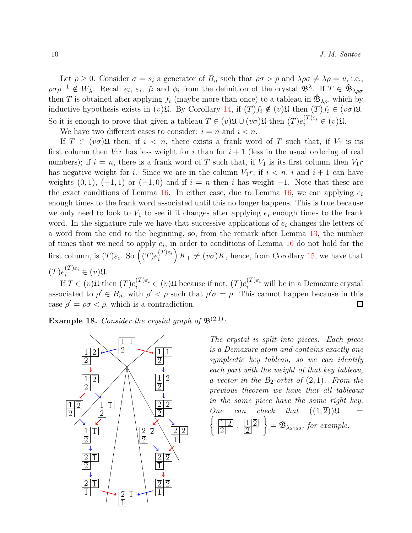Let  $\rho \geq 0$ . Consider  $\sigma = s_i$  a generator of  $B_n$  such that  $\rho \sigma > \rho$  and  $\lambda \rho \sigma \neq \lambda \rho = v$ , i.e.,  $\rho \sigma \rho^{-1} \notin W_{\lambda}$ . Recall  $e_i, \varepsilon_i, f_i$  and  $\phi_i$  from the definition of the crystal  $\mathfrak{B}^{\lambda}$ . If  $T \in \mathfrak{B}_{\lambda \rho \sigma}$ then *T* is obtained after applying  $f_i$  (maybe more than once) to a tableau in  $\mathfrak{B}_{\lambda\rho}$ , which by inductive hypothesis exists in  $(v)$ U. By Corollary [14,](#page-8-1) if  $(T)f_i \notin (v)$ U then  $(T)f_i \in (v\sigma)$ U. So it is enough to prove that given a tableau  $T \in (v) \mathfrak{U} \cup (v\sigma) \mathfrak{U}$  then  $(T) e_i^{(T)\varepsilon_i} \in (v) \mathfrak{U}$ .

We have two different cases to consider:  $i = n$  and  $i < n$ .

If  $T \in (v\sigma)$  then, if  $i \leq n$ , there exists a frank word of *T* such that, if  $V_1$  is its first column then  $V_1r$  has less weight for *i* than for  $i + 1$  (less in the usual ordering of real numbers); if  $i = n$ , there is a frank word of T such that, if  $V_1$  is its first column then  $V_1r$ has negative weight for *i*. Since we are in the column  $V_1r$ , if  $i < n$ , *i* and  $i + 1$  can have weights  $(0, 1)$ ,  $(-1, 1)$  or  $(-1, 0)$  and if  $i = n$  then *i* has weight  $-1$ . Note that these are the exact conditions of Lemma [16.](#page-8-2) In either case, due to Lemma [16,](#page-8-2) we can applying  $e_i$ enough times to the frank word associated until this no longer happens. This is true because we only need to look to  $V_1$  to see if it changes after applying  $e_i$  enough times to the frank word. In the signature rule we have that successive applications of *e<sup>i</sup>* changes the letters of a word from the end to the beginning, so, from the remark after Lemma [13,](#page-8-3) the number of times that we need to apply *e<sup>i</sup>* , in order to conditions of Lemma [16](#page-8-2) do not hold for the first column, is  $(T)\varepsilon_i$ . So  $\left( (T)e_i^{(T)\varepsilon_i} \right)$ *i*  $(K_{+} \neq (v\sigma)K$ , hence, from Corollary [15,](#page-8-4) we have that  $(T)e_i^{(T)\varepsilon_i} \in (v)\mathfrak{U}.$ 

If  $T \in (v)$  U then  $(T)e_i^{(T)\varepsilon_i} \in (v)$  U because if not,  $(T)e_i^{(T)\varepsilon_i}$  will be in a Demazure crystal associated to  $\rho' \in B_n$ , with  $\rho' < \rho$  such that  $\rho' \sigma = \rho$ . This cannot happen because in this case  $\rho' = \rho \sigma < \rho$ , which is a contradiction.  $\Box$ 

<span id="page-9-0"></span>**Example 18.** Consider the crystal graph of  $\mathfrak{B}^{(2,1)}$ :



*The crystal is split into pieces. Each piece is a Demazure atom and contains exactly one symplectic key tableau, so we can identify each part with the weight of that key tableau, a vector in the B*2*-orbit of* (2, 1)*. From the previous theorem we have that all tableaux in the same piece have the same right key.*  $\left(\frac{1}{2}\right)$ *One* can check that  $((1, \overline{2}))\mathfrak{U} =$  $\frac{1}{2}$ ,  $\frac{1}{2}$ 2  $\left\{\right\} = \hat{\mathfrak{B}}_{\lambda s_1 s_2}$ , for example.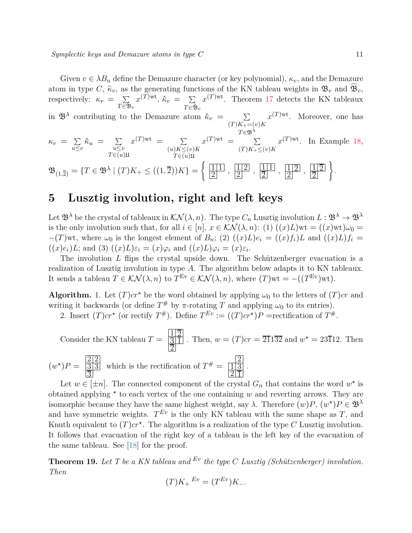Given  $v \in \lambda B_n$  define the Demazure character (or key polynomial),  $\kappa_v$ , and the Demazure atom in type *C*,  $\hat{\kappa}_v$ , as the generating functions of the KN tableau weights in  $\mathfrak{B}_v$  and  $\widehat{\mathfrak{B}}_v$ , respectively:  $\kappa_v = \sum$  $T\bar{\in}\mathfrak{B}_v$  $x^{(T) \mathrm{wt}}, \, \hat{\kappa}_v = \sum$  $T\overline{\in}\mathfrak{B}_v$  $x^{(T)wt}$ . Theorem [17](#page-8-0) detects the KN tableaux in  $\mathfrak{B}^{\lambda}$  contributing to the Demazure atom  $\hat{\kappa}_v = \sum$  $(T)K_{+}=(v)K$ *<sup>T</sup>*∈B*<sup>λ</sup>*  $x^{(T)wt}$ . Moreover, one has

$$
\kappa_v = \sum_{u \le v} \hat{\kappa}_u = \sum_{\substack{u \le v \\ T \in (u)\mathfrak{U}}} x^{(T)\text{wt}} = \sum_{\substack{(u)K \le (v)K \\ T \in (u)\mathfrak{U}}} x^{(T)\text{wt}} = \sum_{\substack{(T)K_+ \le (v)K \\ T \in (u)\mathfrak{U}}} x^{(T)\text{wt}}. \quad \text{In Example 18,}
$$
\n
$$
\mathfrak{B}_{(1,\overline{2})} = \left\{ T \in \mathfrak{B}^{\lambda} \mid (T)K_+ \le ((1,\overline{2}))K \right\} = \left\{ \frac{\boxed{11}}{\boxed{2}}, \frac{\boxed{12}}{\boxed{2}}, \frac{\boxed{11}}{\boxed{2}}, \frac{\boxed{11}}{\boxed{2}}, \frac{\boxed{11}}{\boxed{2}}, \frac{\boxed{11}}{\boxed{2}} \right\}.
$$

## <span id="page-10-0"></span>**5 Lusztig involution, right and left keys**

Let  $\mathfrak{B}^{\lambda}$  be the crystal of tableaux in  $\mathcal{KN}(\lambda,n)$ . The type  $C_n$  Lusztig involution  $L: \mathfrak{B}^{\lambda} \to \mathfrak{B}^{\lambda}$ is the only involution such that, for all  $i \in [n]$ ,  $x \in \mathcal{KN}(\lambda, n)$ : (1)  $\check{O}((x)L)wt = (x)wt)\omega_0 =$  $-(T)$ wt, where  $\omega_0$  is the longest element of  $B_n$ ; (2)  $((x)L)e_i = ((x)f_i)L$  and  $((x)L)f_i =$  $((x)e_i)L$ ; and  $(3)(x)L)\varepsilon_i = (x)\varphi_i$  and  $((x)L)\varphi_i = (x)\varepsilon_i$ .

The involution *L* flips the crystal upside down. The Schützenberger evacuation is a realization of Lusztig involution in type *A*. The algorithm below adapts it to KN tableaux. It sends a tableau  $T \in \mathcal{KN}(\lambda,n)$  to  $T^{\text{Ev}} \in \mathcal{KN}(\lambda,n)$ , where  $(T)$ wt = - $((T^{\text{Ev}})$ wt).

**Algorithm.** 1. Let  $(T)$ *cr*<sup>*\**</sup> be the word obtained by applying  $\omega_0$  to the letters of  $(T)$ *cr* and writing it backwards (or define  $T^{\#}$  by  $\pi$ -rotating  $T$  and applying  $\omega_0$  to its entries).

2. Insert  $(T)$ *cr*<sup>\*</sup> (or rectify  $T^{\#}$ ). Define  $T^{Ev} := ((T)cr^{*})P$  =rectification of  $T^{\#}$ .

Consider the KN tableau 
$$
T = \frac{\frac{1}{3}\sqrt{1}}{\frac{3}{2}}
$$
. Then,  $w = (T)cr = 2\sqrt{132}$  and  $w^* = 23\sqrt{12}$ . Then  
\n
$$
(w^*)P = \frac{\frac{2}{3}\sqrt{2}}{\frac{3}{3}}
$$
 which is the rectification of  $T^* = \frac{\frac{2}{3}}{\frac{13}{21}}$ .

Let  $w \in [\pm n]$ . The connected component of the crystal  $G_n$  that contains the word  $w^*$  is obtained applying  $\star$  to each vertex of the one containing  $w$  and reverting arrows. They are isomorphic because they have the same highest weight, say  $\lambda$ . Therefore  $(w)P$ ,  $(w^*)P \in \mathfrak{B}^{\lambda}$ and have symmetric weights.  $T^{Ev}$  is the only KN tableau with the same shape as  $T$ , and Knuth equivalent to  $(T)$ *cr*<sup> $\star$ </sup>. The algorithm is a realization of the type *C* Lusztig involution. It follows that evacuation of the right key of a tableau is the left key of the evacuation of the same tableau. See [18] for the proof.

<span id="page-10-1"></span>**Theorem 19.** *Let T be a KN tableau and Ev the type C Lusztig (Schützenberger) involution. Then*

$$
(T)K_+{}^{Ev} = (T^{Ev})K_-.
$$